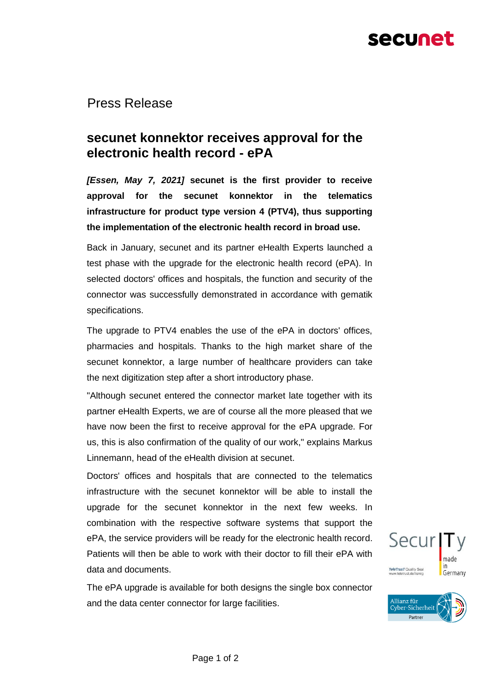# secunet

Press Release

## **secunet konnektor receives approval for the electronic health record - ePA**

*[Essen, May 7, 2021]* **secunet is the first provider to receive approval for the secunet konnektor in the telematics infrastructure for product type version 4 (PTV4), thus supporting the implementation of the electronic health record in broad use.**

Back in January, secunet and its partner eHealth Experts launched a test phase with the upgrade for the electronic health record (ePA). In selected doctors' offices and hospitals, the function and security of the connector was successfully demonstrated in accordance with gematik specifications.

The upgrade to PTV4 enables the use of the ePA in doctors' offices, pharmacies and hospitals. Thanks to the high market share of the secunet konnektor, a large number of healthcare providers can take the next digitization step after a short introductory phase.

"Although secunet entered the connector market late together with its partner eHealth Experts, we are of course all the more pleased that we have now been the first to receive approval for the ePA upgrade. For us, this is also confirmation of the quality of our work," explains Markus Linnemann, head of the eHealth division at secunet.

Doctors' offices and hospitals that are connected to the telematics infrastructure with the secunet konnektor will be able to install the upgrade for the secunet konnektor in the next few weeks. In combination with the respective software systems that support the ePA, the service providers will be ready for the electronic health record. Patients will then be able to work with their doctor to fill their ePA with data and documents.

The ePA upgrade is available for both designs the single box connector and the data center connector for large facilities.